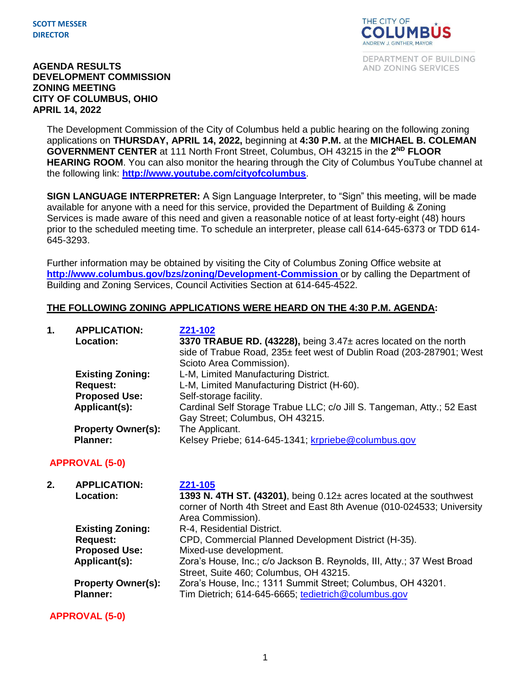

DEPARTMENT OF BUILDING AND ZONING SERVICES

#### **AGENDA RESULTS DEVELOPMENT COMMISSION ZONING MEETING CITY OF COLUMBUS, OHIO APRIL 14, 2022**

The Development Commission of the City of Columbus held a public hearing on the following zoning applications on **THURSDAY, APRIL 14, 2022,** beginning at **4:30 P.M.** at the **MICHAEL B. COLEMAN**  GOVERNMENT CENTER at 111 North Front Street, Columbus, OH 43215 in the 2<sup>ND</sup> FLOOR **HEARING ROOM**. You can also monitor the hearing through the City of Columbus YouTube channel at the following link: **<http://www.youtube.com/cityofcolumbus>**.

**SIGN LANGUAGE INTERPRETER:** A Sign Language Interpreter, to "Sign" this meeting, will be made available for anyone with a need for this service, provided the Department of Building & Zoning Services is made aware of this need and given a reasonable notice of at least forty-eight (48) hours prior to the scheduled meeting time. To schedule an interpreter, please call 614-645-6373 or TDD 614- 645-3293.

Further information may be obtained by visiting the City of Columbus Zoning Office website at **http://www.columbus.gov/bzs/zoning/Development-Commission** or by calling the Department of Building and Zoning Services, Council Activities Section at 614-645-4522.

### **THE FOLLOWING ZONING APPLICATIONS WERE HEARD ON THE 4:30 P.M. AGENDA:**

| 1. | <b>APPLICATION:</b><br><b>Location:</b>      | Z21-102<br>3370 TRABUE RD. (43228), being 3.47± acres located on the north<br>side of Trabue Road, 235± feet west of Dublin Road (203-287901; West<br>Scioto Area Commission). |
|----|----------------------------------------------|--------------------------------------------------------------------------------------------------------------------------------------------------------------------------------|
|    | <b>Existing Zoning:</b>                      | L-M, Limited Manufacturing District.                                                                                                                                           |
|    | <b>Request:</b>                              | L-M, Limited Manufacturing District (H-60).                                                                                                                                    |
|    | <b>Proposed Use:</b>                         | Self-storage facility.                                                                                                                                                         |
|    | Applicant(s):                                | Cardinal Self Storage Trabue LLC; c/o Jill S. Tangeman, Atty.; 52 East<br>Gay Street; Columbus, OH 43215.                                                                      |
|    | <b>Property Owner(s):</b><br><b>Planner:</b> | The Applicant.<br>Kelsey Priebe; 614-645-1341; krpriebe@columbus.gov                                                                                                           |

### **APPROVAL (5-0)**

| 2. | <b>APPLICATION:</b><br><b>Location:</b>      | Z21-105<br>1393 N. 4TH ST. (43201), being $0.12\pm$ acres located at the southwest<br>corner of North 4th Street and East 8th Avenue (010-024533; University<br>Area Commission). |
|----|----------------------------------------------|-----------------------------------------------------------------------------------------------------------------------------------------------------------------------------------|
|    | <b>Existing Zoning:</b>                      | R-4, Residential District.                                                                                                                                                        |
|    | <b>Request:</b>                              | CPD, Commercial Planned Development District (H-35).                                                                                                                              |
|    | <b>Proposed Use:</b>                         | Mixed-use development.                                                                                                                                                            |
|    | Applicant(s):                                | Zora's House, Inc.; c/o Jackson B. Reynolds, III, Atty.; 37 West Broad<br>Street, Suite 460; Columbus, OH 43215.                                                                  |
|    | <b>Property Owner(s):</b><br><b>Planner:</b> | Zora's House, Inc.; 1311 Summit Street; Columbus, OH 43201.<br>Tim Dietrich; 614-645-6665; tedietrich@columbus.gov                                                                |

**APPROVAL (5-0)**